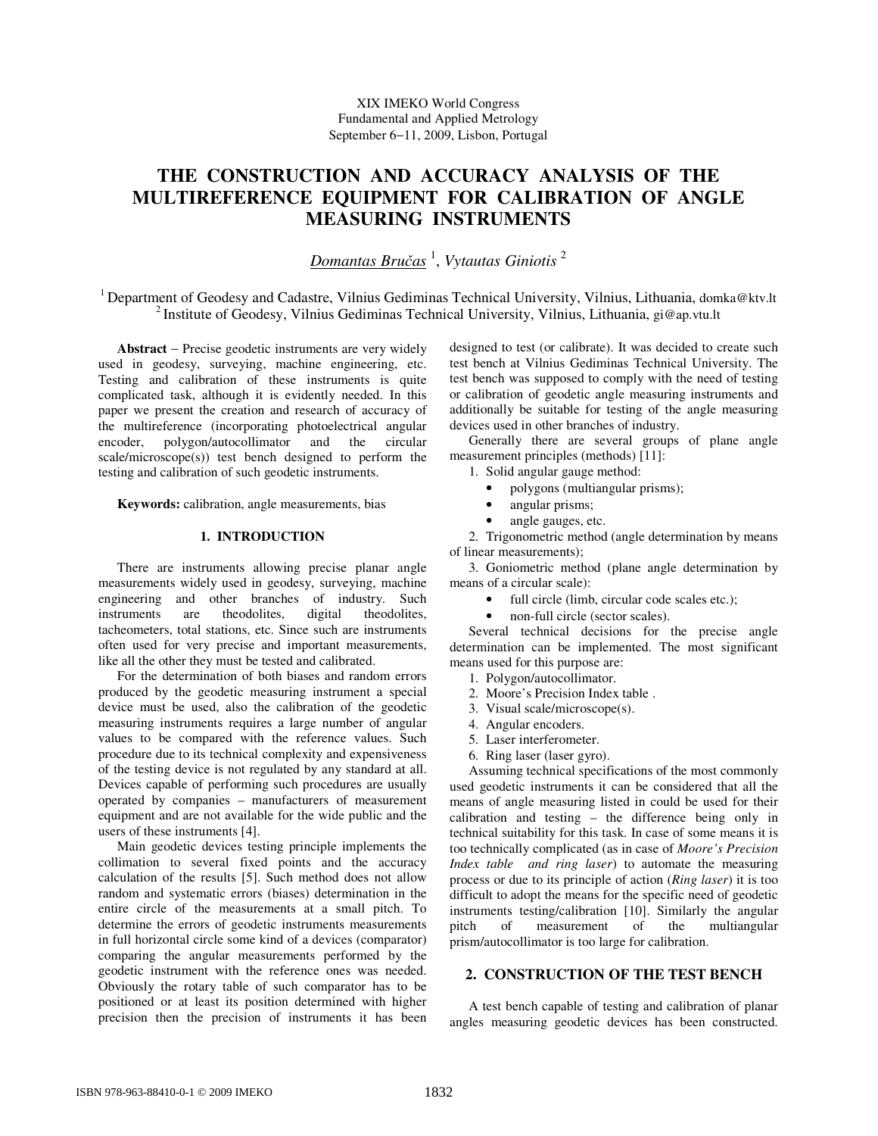# **THE CONSTRUCTION AND ACCURACY ANALYSIS OF THE MULTIREFERENCE EQUIPMENT FOR CALIBRATION OF ANGLE MEASURING INSTRUMENTS**

*Domantas Bru*č*as* 1 , *Vytautas Giniotis* <sup>2</sup>

<sup>1</sup> Department of Geodesy and Cadastre, Vilnius Gediminas Technical University, Vilnius, Lithuania, domka@ktv.lt <sup>2</sup> Institute of Geodesy, Vilnius Gediminas Technical University, Vilnius, Lithuania, gi@ap.vtu.lt

**Abstract** − Precise geodetic instruments are very widely used in geodesy, surveying, machine engineering, etc. Testing and calibration of these instruments is quite complicated task, although it is evidently needed. In this paper we present the creation and research of accuracy of the multireference (incorporating photoelectrical angular encoder, polygon/autocollimator and the circular scale/microscope(s)) test bench designed to perform the testing and calibration of such geodetic instruments.

**Keywords:** calibration, angle measurements, bias

## **1. INTRODUCTION**

There are instruments allowing precise planar angle measurements widely used in geodesy, surveying, machine engineering and other branches of industry. Such instruments are theodolites. digital theodolites. are theodolites, digital theodolites, tacheometers, total stations, etc. Since such are instruments often used for very precise and important measurements, like all the other they must be tested and calibrated.

For the determination of both biases and random errors produced by the geodetic measuring instrument a special device must be used, also the calibration of the geodetic measuring instruments requires a large number of angular values to be compared with the reference values. Such procedure due to its technical complexity and expensiveness of the testing device is not regulated by any standard at all. Devices capable of performing such procedures are usually operated by companies – manufacturers of measurement equipment and are not available for the wide public and the users of these instruments [4].

Main geodetic devices testing principle implements the collimation to several fixed points and the accuracy calculation of the results [5]. Such method does not allow random and systematic errors (biases) determination in the entire circle of the measurements at a small pitch. To determine the errors of geodetic instruments measurements in full horizontal circle some kind of a devices (comparator) comparing the angular measurements performed by the geodetic instrument with the reference ones was needed. Obviously the rotary table of such comparator has to be positioned or at least its position determined with higher precision then the precision of instruments it has been

designed to test (or calibrate). It was decided to create such test bench at Vilnius Gediminas Technical University. The test bench was supposed to comply with the need of testing or calibration of geodetic angle measuring instruments and additionally be suitable for testing of the angle measuring devices used in other branches of industry.

Generally there are several groups of plane angle measurement principles (methods) [11]:

1. Solid angular gauge method:

- polygons (multiangular prisms);
- angular prisms;
- angle gauges, etc.

2. Trigonometric method (angle determination by means of linear measurements);

3. Goniometric method (plane angle determination by means of a circular scale):

- full circle (limb, circular code scales etc.);
- non-full circle (sector scales).

Several technical decisions for the precise angle determination can be implemented. The most significant means used for this purpose are:

- 1. Polygon/autocollimator.
- 2. Moore's Precision Index table .
- 3. Visual scale/microscope(s).
- 4. Angular encoders.
- 5. Laser interferometer.
- 6. Ring laser (laser gyro).

Assuming technical specifications of the most commonly used geodetic instruments it can be considered that all the means of angle measuring listed in could be used for their calibration and testing – the difference being only in technical suitability for this task. In case of some means it is too technically complicated (as in case of *Moore's Precision Index table and ring laser*) to automate the measuring process or due to its principle of action (*Ring laser*) it is too difficult to adopt the means for the specific need of geodetic instruments testing/calibration [10]. Similarly the angular<br>pitch of measurement of the multiangular pitch of measurement of the multiangular prism/autocollimator is too large for calibration.

## **2. CONSTRUCTION OF THE TEST BENCH**

A test bench capable of testing and calibration of planar angles measuring geodetic devices has been constructed.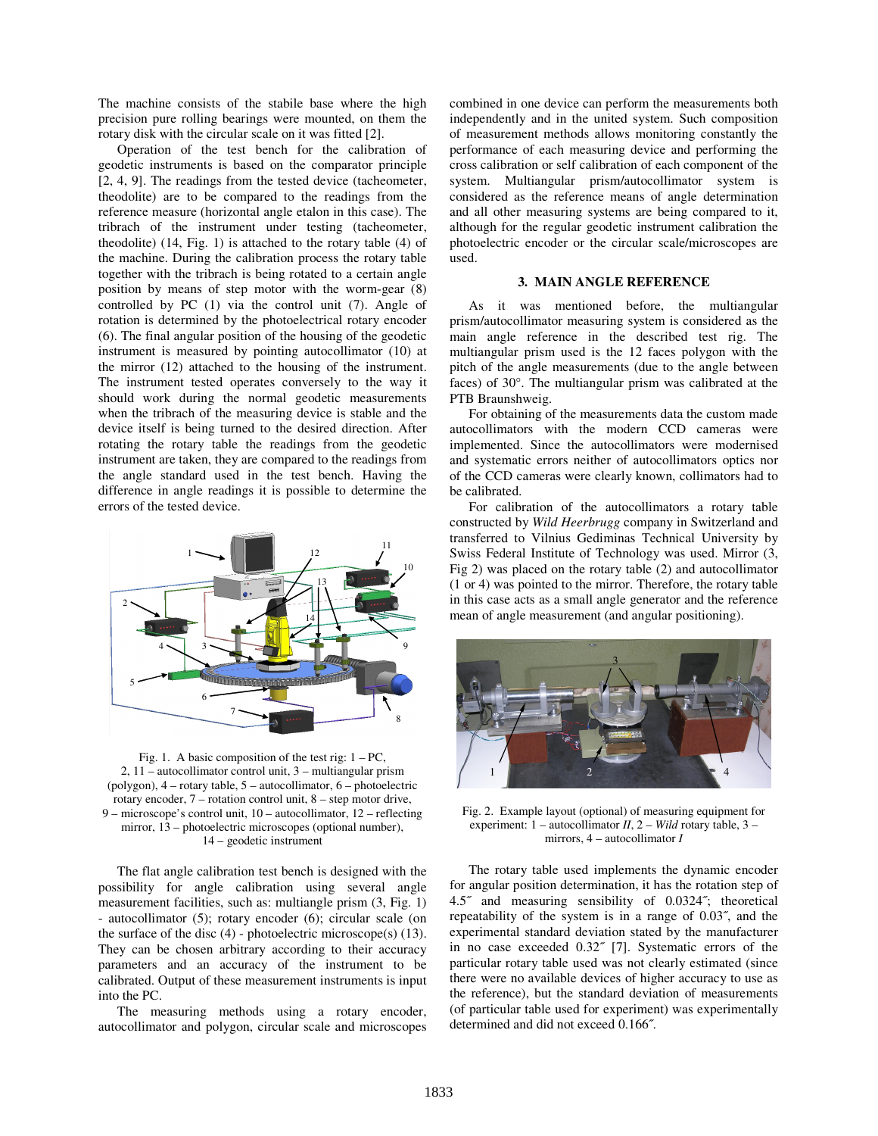The machine consists of the stabile base where the high precision pure rolling bearings were mounted, on them the rotary disk with the circular scale on it was fitted [2].

Operation of the test bench for the calibration of geodetic instruments is based on the comparator principle [2, 4, 9]. The readings from the tested device (tacheometer, theodolite) are to be compared to the readings from the reference measure (horizontal angle etalon in this case). The tribrach of the instrument under testing (tacheometer, theodolite) (14, Fig. 1) is attached to the rotary table (4) of the machine. During the calibration process the rotary table together with the tribrach is being rotated to a certain angle position by means of step motor with the worm-gear (8) controlled by PC (1) via the control unit (7). Angle of rotation is determined by the photoelectrical rotary encoder (6). The final angular position of the housing of the geodetic instrument is measured by pointing autocollimator (10) at the mirror (12) attached to the housing of the instrument. The instrument tested operates conversely to the way it should work during the normal geodetic measurements when the tribrach of the measuring device is stable and the device itself is being turned to the desired direction. After rotating the rotary table the readings from the geodetic instrument are taken, they are compared to the readings from the angle standard used in the test bench. Having the difference in angle readings it is possible to determine the errors of the tested device.



Fig. 1. A basic composition of the test rig:  $1 - PC$ , 2, 11 – autocollimator control unit, 3 – multiangular prism (polygon), 4 – rotary table, 5 – autocollimator, 6 – photoelectric rotary encoder, 7 – rotation control unit, 8 – step motor drive, 9 – microscope's control unit, 10 – autocollimator, 12 – reflecting mirror, 13 – photoelectric microscopes (optional number), 14 – geodetic instrument

The flat angle calibration test bench is designed with the possibility for angle calibration using several angle measurement facilities, such as: multiangle prism (3, Fig. 1) - autocollimator (5); rotary encoder (6); circular scale (on the surface of the disc  $(4)$  - photoelectric microscope $(s)$   $(13)$ . They can be chosen arbitrary according to their accuracy parameters and an accuracy of the instrument to be calibrated. Output of these measurement instruments is input into the PC.

The measuring methods using a rotary encoder, autocollimator and polygon, circular scale and microscopes

combined in one device can perform the measurements both independently and in the united system. Such composition of measurement methods allows monitoring constantly the performance of each measuring device and performing the cross calibration or self calibration of each component of the system. Multiangular prism/autocollimator system is considered as the reference means of angle determination and all other measuring systems are being compared to it, although for the regular geodetic instrument calibration the photoelectric encoder or the circular scale/microscopes are used.

## **3. MAIN ANGLE REFERENCE**

As it was mentioned before, the multiangular prism/autocollimator measuring system is considered as the main angle reference in the described test rig. The multiangular prism used is the 12 faces polygon with the pitch of the angle measurements (due to the angle between faces) of 30°. The multiangular prism was calibrated at the PTB Braunshweig.

For obtaining of the measurements data the custom made autocollimators with the modern CCD cameras were implemented. Since the autocollimators were modernised and systematic errors neither of autocollimators optics nor of the CCD cameras were clearly known, collimators had to be calibrated.

For calibration of the autocollimators a rotary table constructed by *Wild Heerbrugg* company in Switzerland and transferred to Vilnius Gediminas Technical University by Swiss Federal Institute of Technology was used. Mirror (3, Fig 2) was placed on the rotary table (2) and autocollimator (1 or 4) was pointed to the mirror. Therefore, the rotary table in this case acts as a small angle generator and the reference mean of angle measurement (and angular positioning).



Fig. 2. Example layout (optional) of measuring equipment for experiment: 1 – autocollimator *II*, 2 – *Wild* rotary table, 3 – mirrors, 4 – autocollimator *I*

The rotary table used implements the dynamic encoder for angular position determination, it has the rotation step of 4.5˝ and measuring sensibility of 0.0324˝; theoretical repeatability of the system is in a range of 0.03˝, and the experimental standard deviation stated by the manufacturer in no case exceeded 0.32˝ [7]. Systematic errors of the particular rotary table used was not clearly estimated (since there were no available devices of higher accuracy to use as the reference), but the standard deviation of measurements (of particular table used for experiment) was experimentally determined and did not exceed 0.166˝.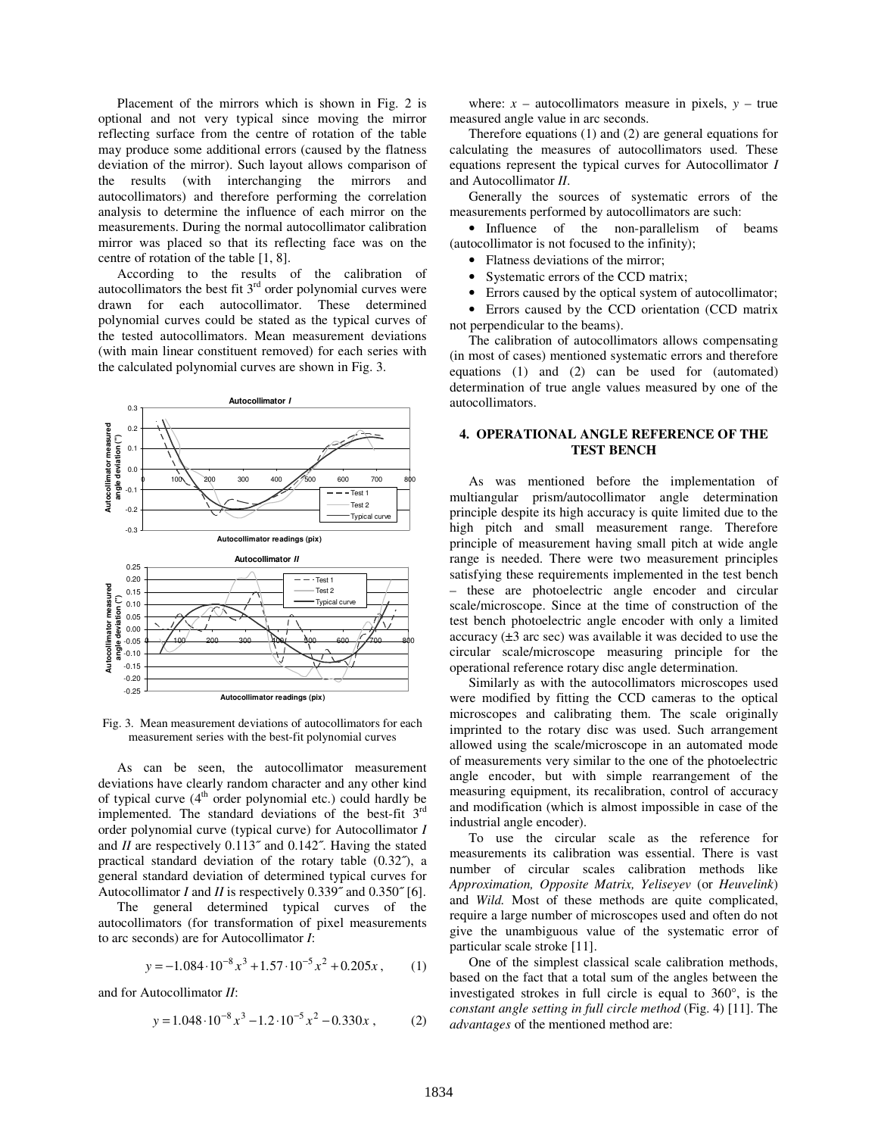Placement of the mirrors which is shown in Fig. 2 is optional and not very typical since moving the mirror reflecting surface from the centre of rotation of the table may produce some additional errors (caused by the flatness deviation of the mirror). Such layout allows comparison of the results (with interchanging the mirrors and autocollimators) and therefore performing the correlation analysis to determine the influence of each mirror on the measurements. During the normal autocollimator calibration mirror was placed so that its reflecting face was on the centre of rotation of the table [1, 8].

According to the results of the calibration of autocollimators the best fit  $3<sup>rd</sup>$  order polynomial curves were drawn for each autocollimator. These determined polynomial curves could be stated as the typical curves of the tested autocollimators. Mean measurement deviations (with main linear constituent removed) for each series with the calculated polynomial curves are shown in Fig. 3.



Fig. 3. Mean measurement deviations of autocollimators for each measurement series with the best-fit polynomial curves

As can be seen, the autocollimator measurement deviations have clearly random character and any other kind of typical curve  $(4<sup>th</sup>$  order polynomial etc.) could hardly be implemented. The standard deviations of the best-fit  $3<sup>rd</sup>$ order polynomial curve (typical curve) for Autocollimator *I* and *II* are respectively 0.113" and 0.142". Having the stated practical standard deviation of the rotary table (0.32˝), a general standard deviation of determined typical curves for Autocollimator *I* and *II* is respectively 0.339" and 0.350" [6].

The general determined typical curves of the autocollimators (for transformation of pixel measurements to arc seconds) are for Autocollimator *I*:

$$
y = -1.084 \cdot 10^{-8} x^3 + 1.57 \cdot 10^{-5} x^2 + 0.205x, \qquad (1)
$$

and for Autocollimator *II*:

$$
y = 1.048 \cdot 10^{-8} x^3 - 1.2 \cdot 10^{-5} x^2 - 0.330x , \qquad (2)
$$

where:  $x -$  autocollimators measure in pixels,  $y -$  true measured angle value in arc seconds.

Therefore equations (1) and (2) are general equations for calculating the measures of autocollimators used. These equations represent the typical curves for Autocollimator *I* and Autocollimator *II*.

Generally the sources of systematic errors of the measurements performed by autocollimators are such:

• Influence of the non-parallelism of beams (autocollimator is not focused to the infinity);

- Flatness deviations of the mirror;
- Systematic errors of the CCD matrix;
- Errors caused by the optical system of autocollimator;

• Errors caused by the CCD orientation (CCD matrix not perpendicular to the beams).

The calibration of autocollimators allows compensating (in most of cases) mentioned systematic errors and therefore equations (1) and (2) can be used for (automated) determination of true angle values measured by one of the autocollimators.

## **4. OPERATIONAL ANGLE REFERENCE OF THE TEST BENCH**

As was mentioned before the implementation of multiangular prism/autocollimator angle determination principle despite its high accuracy is quite limited due to the high pitch and small measurement range. Therefore principle of measurement having small pitch at wide angle range is needed. There were two measurement principles satisfying these requirements implemented in the test bench – these are photoelectric angle encoder and circular scale/microscope. Since at the time of construction of the test bench photoelectric angle encoder with only a limited accuracy  $(\pm 3 \text{ arc sec})$  was available it was decided to use the circular scale/microscope measuring principle for the operational reference rotary disc angle determination.

Similarly as with the autocollimators microscopes used were modified by fitting the CCD cameras to the optical microscopes and calibrating them. The scale originally imprinted to the rotary disc was used. Such arrangement allowed using the scale/microscope in an automated mode of measurements very similar to the one of the photoelectric angle encoder, but with simple rearrangement of the measuring equipment, its recalibration, control of accuracy and modification (which is almost impossible in case of the industrial angle encoder).

To use the circular scale as the reference for measurements its calibration was essential. There is vast number of circular scales calibration methods like *Approximation, Opposite Matrix, Yeliseyev* (or *Heuvelink*) and *Wild.* Most of these methods are quite complicated, require a large number of microscopes used and often do not give the unambiguous value of the systematic error of particular scale stroke [11].

One of the simplest classical scale calibration methods, based on the fact that a total sum of the angles between the investigated strokes in full circle is equal to 360°, is the *constant angle setting in full circle method* (Fig. 4) [11]. The *advantages* of the mentioned method are: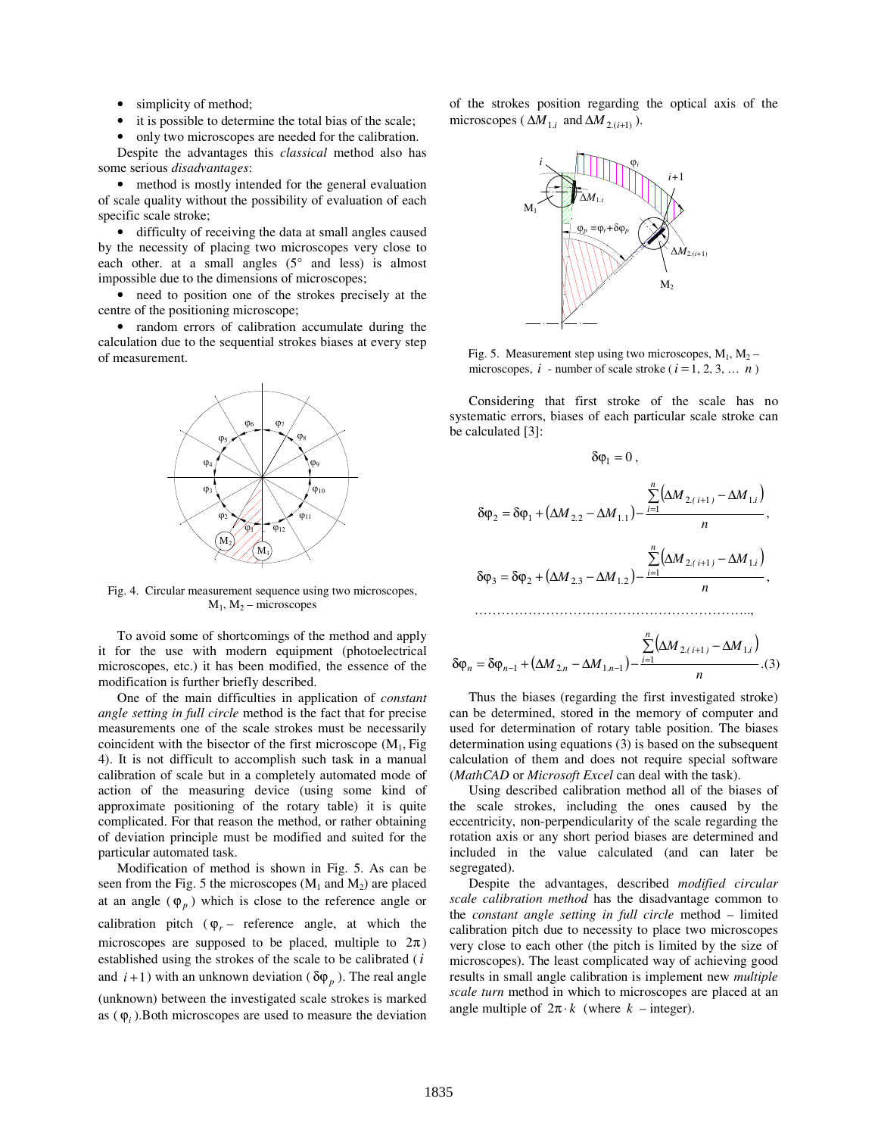- simplicity of method;
- it is possible to determine the total bias of the scale;

• only two microscopes are needed for the calibration. Despite the advantages this *classical* method also has some serious *disadvantages*:

• method is mostly intended for the general evaluation of scale quality without the possibility of evaluation of each specific scale stroke;

• difficulty of receiving the data at small angles caused by the necessity of placing two microscopes very close to each other. at a small angles (5° and less) is almost impossible due to the dimensions of microscopes;

• need to position one of the strokes precisely at the centre of the positioning microscope;

• random errors of calibration accumulate during the calculation due to the sequential strokes biases at every step of measurement.



Fig. 4. Circular measurement sequence using two microscopes,  $M_1$ ,  $M_2$  – microscopes

To avoid some of shortcomings of the method and apply it for the use with modern equipment (photoelectrical microscopes, etc.) it has been modified, the essence of the modification is further briefly described.

One of the main difficulties in application of *constant angle setting in full circle* method is the fact that for precise measurements one of the scale strokes must be necessarily coincident with the bisector of the first microscope  $(M_1, Fig)$ 4). It is not difficult to accomplish such task in a manual calibration of scale but in a completely automated mode of action of the measuring device (using some kind of approximate positioning of the rotary table) it is quite complicated. For that reason the method, or rather obtaining of deviation principle must be modified and suited for the particular automated task.

Modification of method is shown in Fig. 5. As can be seen from the Fig. 5 the microscopes  $(M_1 \text{ and } M_2)$  are placed at an angle  $(\varphi_p)$  which is close to the reference angle or calibration pitch  $(\varphi_r -$  reference angle, at which the microscopes are supposed to be placed, multiple to  $2\pi$ ) established using the strokes of the scale to be calibrated (*i* and  $i+1$ ) with an unknown deviation ( $\delta \varphi_p$ ). The real angle (unknown) between the investigated scale strokes is marked as  $(\varphi_i)$ . Both microscopes are used to measure the deviation of the strokes position regarding the optical axis of the microscopes ( $\Delta M_{1,i}$  and  $\Delta M_{2,(i+1)}$ ).



Fig. 5. Measurement step using two microscopes,  $M_1$ ,  $M_2$  – microscopes,  $i$  - number of scale stroke ( $i = 1, 2, 3, \dots n$ )

Considering that first stroke of the scale has no systematic errors, biases of each particular scale stroke can be calculated [3]:

$$
\delta \varphi_1 = 0 ,
$$
  

$$
\delta \varphi_2 = \delta \varphi_1 + (\Delta M_{2,2} - \Delta M_{1,1}) - \frac{\sum_{i=1}^{n} (\Delta M_{2,(i+1)} - \Delta M_{1,i})}{n},
$$
  

$$
\delta \varphi_3 = \delta \varphi_2 + (\Delta M_{2,3} - \Delta M_{1,2}) - \frac{\sum_{i=1}^{n} (\Delta M_{2,(i+1)} - \Delta M_{1,i})}{n},
$$

$$
\delta \varphi_n = \delta \varphi_{n-1} + (\Delta M_{2,n} - \Delta M_{1,n-1}) - \frac{\sum_{i=1}^n (\Delta M_{2,(i+1)} - \Delta M_{1,i})}{n} \tag{3}
$$

…………………………………………………………………

Thus the biases (regarding the first investigated stroke) can be determined, stored in the memory of computer and used for determination of rotary table position. The biases determination using equations (3) is based on the subsequent calculation of them and does not require special software (*MathCAD* or *Microsoft Excel* can deal with the task).

Using described calibration method all of the biases of the scale strokes, including the ones caused by the eccentricity, non-perpendicularity of the scale regarding the rotation axis or any short period biases are determined and included in the value calculated (and can later be segregated).

Despite the advantages, described *modified circular scale calibration method* has the disadvantage common to the *constant angle setting in full circle* method – limited calibration pitch due to necessity to place two microscopes very close to each other (the pitch is limited by the size of microscopes). The least complicated way of achieving good results in small angle calibration is implement new *multiple scale turn* method in which to microscopes are placed at an angle multiple of  $2\pi \cdot k$  (where  $k$  – integer).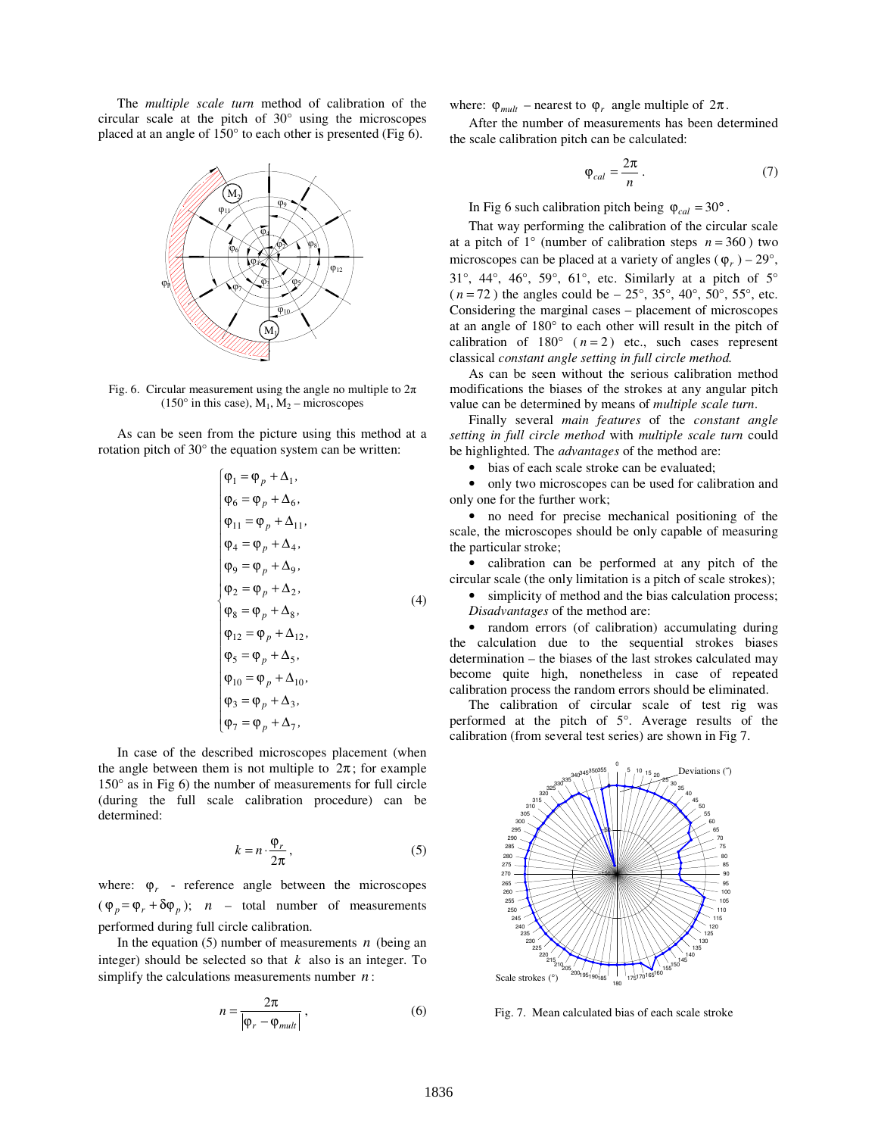The *multiple scale turn* method of calibration of the circular scale at the pitch of 30° using the microscopes placed at an angle of 150° to each other is presented (Fig 6).



Fig. 6. Circular measurement using the angle no multiple to  $2\pi$  $(150^{\circ}$  in this case),  $M_1$ ,  $M_2$  – microscopes

As can be seen from the picture using this method at a rotation pitch of 30° the equation system can be written:

$$
\begin{cases}\n\varphi_1 = \varphi_p + \Delta_1, \\
\varphi_6 = \varphi_p + \Delta_6, \\
\varphi_{11} = \varphi_p + \Delta_{11}, \\
\varphi_4 = \varphi_p + \Delta_4, \\
\varphi_9 = \varphi_p + \Delta_9, \\
\varphi_2 = \varphi_p + \Delta_2, \\
\varphi_8 = \varphi_p + \Delta_8, \\
\varphi_{12} = \varphi_p + \Delta_{12}, \\
\varphi_5 = \varphi_p + \Delta_{10}, \\
\varphi_1 = \varphi_p + \Delta_{10}, \\
\varphi_3 = \varphi_p + \Delta_3, \\
\varphi_7 = \varphi_p + \Delta_7,\n\end{cases} (4)
$$

In case of the described microscopes placement (when the angle between them is not multiple to  $2\pi$ ; for example 150° as in Fig 6) the number of measurements for full circle (during the full scale calibration procedure) can be determined:

$$
k = n \cdot \frac{\varphi_r}{2\pi},\tag{5}
$$

where:  $\varphi_r$  - reference angle between the microscopes  $(\varphi_p = \varphi_r + \delta \varphi_p);$  *n* – total number of measurements performed during full circle calibration.

In the equation  $(5)$  number of measurements *n* (being an integer) should be selected so that *k* also is an integer. To simplify the calculations measurements number *n* :

$$
n = \frac{2\pi}{\left|\varphi_r - \varphi_{mult}\right|} \,,\tag{6}
$$

where:  $\varphi_{mult}$  – nearest to  $\varphi_r$  angle multiple of  $2\pi$ .

After the number of measurements has been determined the scale calibration pitch can be calculated:

$$
\varphi_{cal} = \frac{2\pi}{n} \,. \tag{7}
$$

In Fig 6 such calibration pitch being  $\varphi_{cal} = 30^\circ$ .

That way performing the calibration of the circular scale at a pitch of  $1^\circ$  (number of calibration steps  $n = 360$ ) two microscopes can be placed at a variety of angles ( $\varphi$ <sub>*r*</sub>) – 29<sup>°</sup>,  $31^\circ$ ,  $44^\circ$ ,  $46^\circ$ ,  $59^\circ$ ,  $61^\circ$ , etc. Similarly at a pitch of  $5^\circ$  $(n = 72)$  the angles could be – 25°, 35°, 40°, 50°, 55°, etc. Considering the marginal cases – placement of microscopes at an angle of 180° to each other will result in the pitch of calibration of  $180^{\circ}$  ( $n=2$ ) etc., such cases represent classical *constant angle setting in full circle method.*

As can be seen without the serious calibration method modifications the biases of the strokes at any angular pitch value can be determined by means of *multiple scale turn*.

Finally several *main features* of the *constant angle setting in full circle method* with *multiple scale turn* could be highlighted. The *advantages* of the method are:

• bias of each scale stroke can be evaluated;

• only two microscopes can be used for calibration and only one for the further work;

• no need for precise mechanical positioning of the scale, the microscopes should be only capable of measuring the particular stroke;

• calibration can be performed at any pitch of the circular scale (the only limitation is a pitch of scale strokes);

• simplicity of method and the bias calculation process; *Disadvantages* of the method are:

• random errors (of calibration) accumulating during the calculation due to the sequential strokes biases determination – the biases of the last strokes calculated may become quite high, nonetheless in case of repeated calibration process the random errors should be eliminated.

The calibration of circular scale of test rig was performed at the pitch of 5°. Average results of the calibration (from several test series) are shown in Fig 7.



Fig. 7. Mean calculated bias of each scale stroke